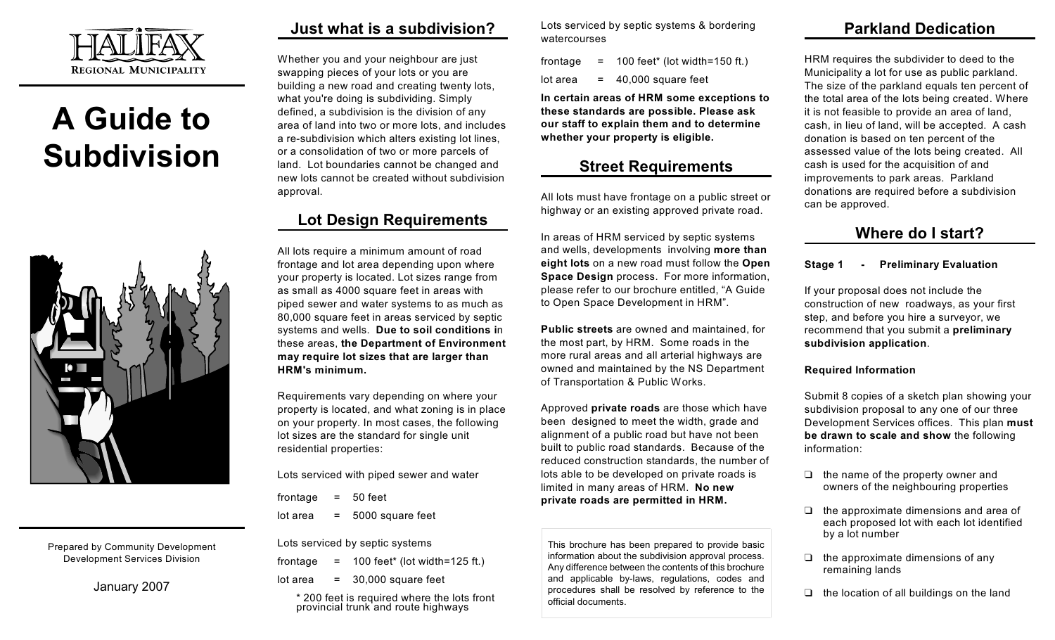

# **A Guide to Subdivision**



Prepared by Community Development Development Services Division

January 2007

## **Just what is a subdivision?**

Whether you and your neighbour are just swapping pieces of your lots or you are building a new road and creating twenty lots, what you're doing is subdividing. Simply defined, a subdivision is the division of any area of land into two or more lots, and includes a re-subdivision which alters existing lot lines, or a consolidation of two or more parcels of land. Lot boundaries cannot be changed and new lots cannot be created without subdivision approval.

## **Lot Design Requirements**

All lots require a minimum amount of road frontage and lot area depending upon where your property is located. Lot sizes range from as small as 4000 square feet in areas with piped sewer and water systems to as much as 80,000 square feet in areas serviced by septic systems and wells. **Due to soil conditions i**n these areas, **the Department of Environment may require lot sizes that are larger than HRM's minimum.**

Requirements vary depending on where your property is located, and what zoning is in place on your property. In most cases, the following lot sizes are the standard for single unit residential properties:

Lots serviced with piped sewer and water

frontage  $= 50$  feet

 $\lambda$  lot area  $\lambda$  = 5000 square feet

Lots serviced by septic systems

- frontage  $= 100$  feet\* (lot width=125 ft.)
- $\lambda$  lot area = 30,000 square feet

\* 200 feet is required where the lots front provincial trunk and route highways

Lots serviced by septic systems & bordering watercourses

- frontage  $= 100$  feet\* (lot width=150 ft.)
- $\theta$  area = 40.000 square feet

**In certain areas of HRM some exceptions to these standards are possible. Please ask our staff to explain them and to determine whether your property is eligible.**

## **Street Requirements**

All lots must have frontage on a public street or highway or an existing approved private road.

In areas of HRM serviced by septic systems and wells, developments involving **more than eight lots** on a new road must follow the **Open Space Design** process. For more information, please refer to our brochure entitled, "A Guide to Open Space Development in HRM".

**Public streets** are owned and maintained, for the most part, by HRM. Some roads in the more rural areas and all arterial highways are owned and maintained by the NS Department of Transportation & Public Works.

Approved **private roads** are those which have been designed to meet the width, grade and alignment of a public road but have not been built to public road standards. Because of the reduced construction standards, the number of lots able to be developed on private roads is limited in many areas of HRM. **No new private roads are permitted in HRM.** 

This brochure has been prepared to provide basic information about the subdivision approval process. Any difference between the contents of this brochure and applicable by-laws, regulations, codes and procedures shall be resolved by reference to the official documents.

## **Parkland Dedication**

HRM requires the subdivider to deed to the Municipality a lot for use as public parkland. The size of the parkland equals ten percent of the total area of the lots being created. Where it is not feasible to provide an area of land, cash, in lieu of land, will be accepted. A cash donation is based on ten percent of the assessed value of the lots being created. All cash is used for the acquisition of and improvements to park areas. Parkland donations are required before a subdivision can be approved.

## **Where do I start?**

#### **Stage 1 - Preliminary Evaluation**

If your proposal does not include the construction of new roadways, as your first step, and before you hire a surveyor, we recommend that you submit a **preliminary subdivision application**.

#### **Required Information**

Submit 8 copies of a sketch plan showing your subdivision proposal to any one of our three Development Services offices. This plan **must be drawn to scale and show** the following information:

- $\Box$  the name of the property owner and owners of the neighbouring properties
- $\Box$  the approximate dimensions and area of each proposed lot with each lot identified by a lot number
- $\Box$  the approximate dimensions of any remaining lands
- $\Box$  the location of all buildings on the land